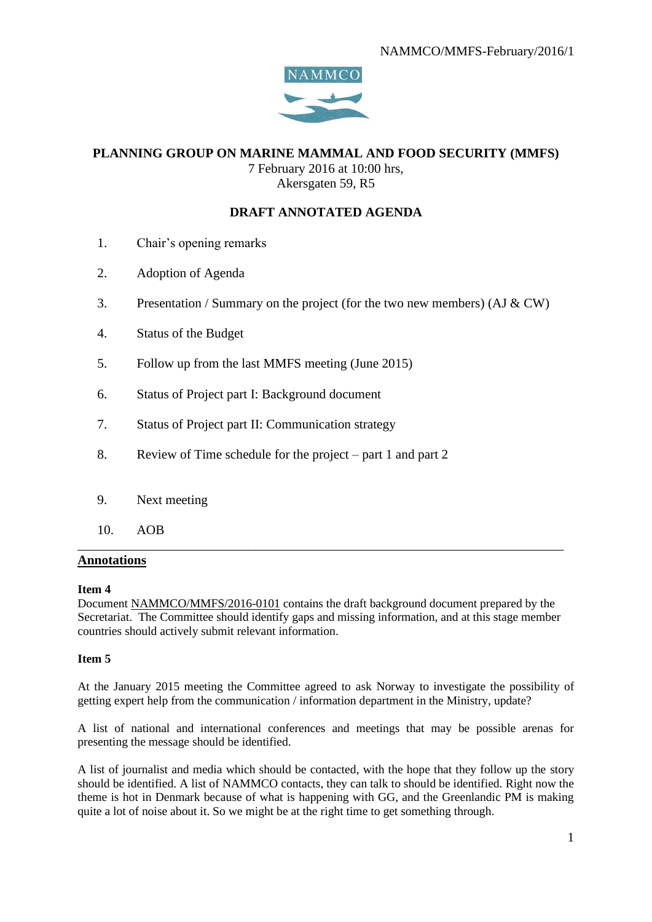

# **PLANNING GROUP ON MARINE MAMMAL AND FOOD SECURITY (MMFS)**

7 February 2016 at 10:00 hrs, Akersgaten 59, R5

## **DRAFT ANNOTATED AGENDA**

- 1. Chair's opening remarks
- 2. Adoption of Agenda
- 3. Presentation / Summary on the project (for the two new members) (AJ & CW)
- 4. Status of the Budget
- 5. Follow up from the last MMFS meeting (June 2015)
- 6. Status of Project part I: Background document
- 7. Status of Project part II: Communication strategy
- 8. Review of Time schedule for the project part 1 and part 2
- 9. Next meeting
- 10. AOB

### **Annotations**

#### **Item 4**

Document NAMMCO/MMFS/2016-0101 contains the draft background document prepared by the Secretariat. The Committee should identify gaps and missing information, and at this stage member countries should actively submit relevant information.

\_\_\_\_\_\_\_\_\_\_\_\_\_\_\_\_\_\_\_\_\_\_\_\_\_\_\_\_\_\_\_\_\_\_\_\_\_\_\_\_\_\_\_\_\_\_\_\_\_\_\_\_\_\_\_\_\_\_\_\_\_\_\_\_\_\_\_\_\_\_\_\_\_\_

#### **Item 5**

At the January 2015 meeting the Committee agreed to ask Norway to investigate the possibility of getting expert help from the communication / information department in the Ministry, update?

A list of national and international conferences and meetings that may be possible arenas for presenting the message should be identified.

A list of journalist and media which should be contacted, with the hope that they follow up the story should be identified. A list of NAMMCO contacts, they can talk to should be identified. Right now the theme is hot in Denmark because of what is happening with GG, and the Greenlandic PM is making quite a lot of noise about it. So we might be at the right time to get something through.